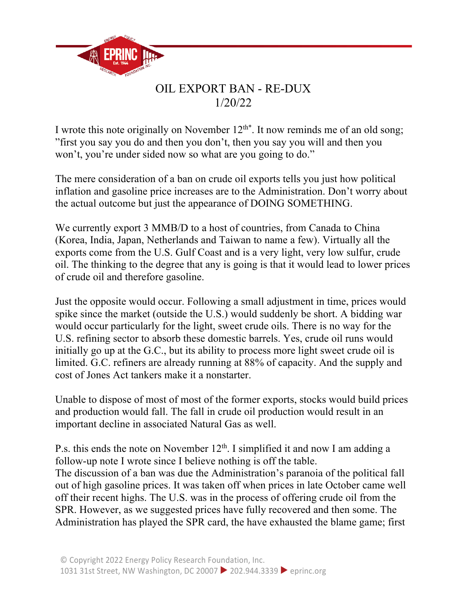

## OIL EXPORT BAN - RE-DUX 1/20/22

I wrote this note originally on November  $12^{th*}$ . It now reminds me of an old song; "first you say you do and then you don't, then you say you will and then you won't, you're under sided now so what are you going to do."

The mere consideration of a ban on crude oil exports tells you just how political inflation and gasoline price increases are to the Administration. Don't worry about the actual outcome but just the appearance of DOING SOMETHING.

We currently export 3 MMB/D to a host of countries, from Canada to China (Korea, India, Japan, Netherlands and Taiwan to name a few). Virtually all the exports come from the U.S. Gulf Coast and is a very light, very low sulfur, crude oil. The thinking to the degree that any is going is that it would lead to lower prices of crude oil and therefore gasoline.

Just the opposite would occur. Following a small adjustment in time, prices would spike since the market (outside the U.S.) would suddenly be short. A bidding war would occur particularly for the light, sweet crude oils. There is no way for the U.S. refining sector to absorb these domestic barrels. Yes, crude oil runs would initially go up at the G.C., but its ability to process more light sweet crude oil is limited. G.C. refiners are already running at 88% of capacity. And the supply and cost of Jones Act tankers make it a nonstarter.

Unable to dispose of most of most of the former exports, stocks would build prices and production would fall. The fall in crude oil production would result in an important decline in associated Natural Gas as well.

P.s. this ends the note on November 12<sup>th</sup>. I simplified it and now I am adding a follow-up note I wrote since I believe nothing is off the table. The discussion of a ban was due the Administration's paranoia of the political fall out of high gasoline prices. It was taken off when prices in late October came well off their recent highs. The U.S. was in the process of offering crude oil from the SPR. However, as we suggested prices have fully recovered and then some. The Administration has played the SPR card, the have exhausted the blame game; first